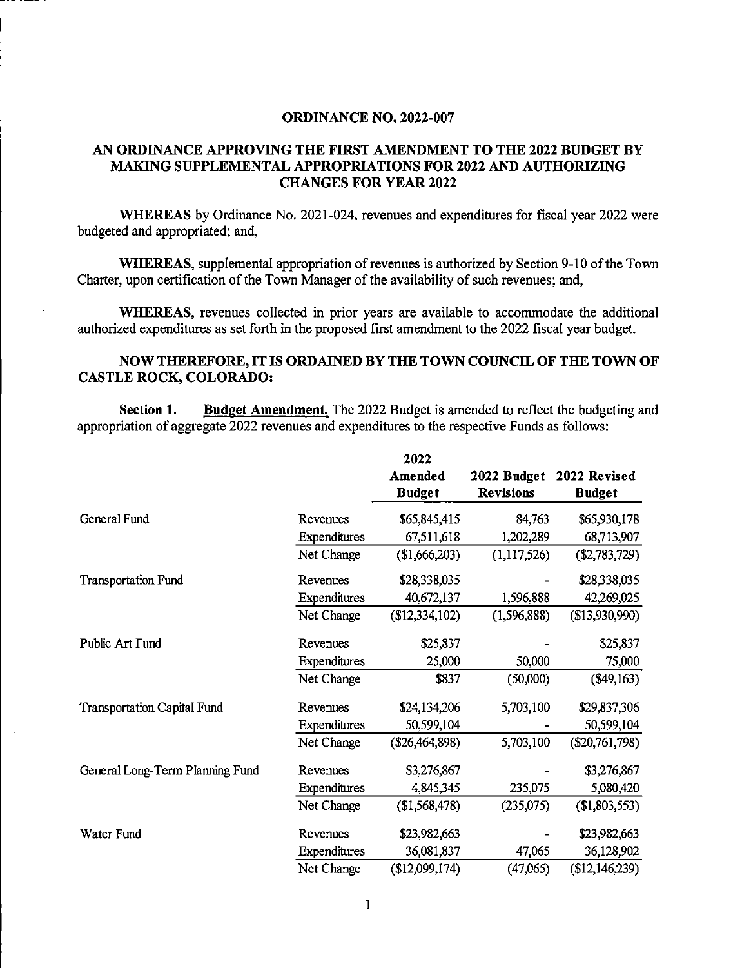## ORDINANCE NO. 2022-007

## AN ORDINANCE APPROVING THE FIRST AMENDMENT TO THE 2022 BUDGET BY MAKING SUPPLEMENTAL APPROPRIATIONS FOR 2022 AND AUTHORIZING CHANGES FOR YEAR 2022

WHEREAS by Ordinance No. 2021-024, revenues and expenditures for fiscal year 2022 were budgeted and appropriated; and,

WHEREAS, supplemental appropriation of revenues is authorized by Section 9-10 of the Town Charter, upon certification of the Town Manager of the availability of such revenues; and,

WHEREAS, revenues collected in prior years are available to accommodate the additional authorized expenditures as set forth in the proposed first amendment to the 2022 fiscal year budget.

## NOW THEREFORE, IT IS ORDAINED BY THE TOWN COUNCIL OF THE TOWN OF CASTLE ROCK, COLORADO:

Section 1. Budget Amendment. The 2022 Budget is amended to reflect the budgeting and appropriation of aggregate 2022 revenues and expenditures to the respective Funds as follows:

|                                    |              | 2022           | 2022 Budget      | 2022 Revised     |
|------------------------------------|--------------|----------------|------------------|------------------|
|                                    |              | Amended        |                  |                  |
|                                    |              | <b>Budget</b>  | <b>Revisions</b> | <b>Budget</b>    |
| General Fund                       | Revenues     | \$65,845,415   | 84,763           | \$65,930,178     |
|                                    | Expenditures | 67,511,618     | 1,202,289        | 68,713,907       |
|                                    | Net Change   | (\$1,666,203)  | (1,117,526)      | $(\$2,783,729)$  |
| <b>Transportation Fund</b>         | Revenues     | \$28,338,035   |                  | \$28,338,035     |
|                                    | Expenditures | 40,672,137     | 1,596,888        | 42,269,025       |
|                                    | Net Change   | (\$12,334,102) | (1, 596, 888)    | (\$13,930,990)   |
| Public Art Fund                    | Revenues     | \$25,837       |                  | \$25,837         |
|                                    | Expenditures | 25,000         | 50,000           | 75,000           |
|                                    | Net Change   | \$837          | (50,000)         | (\$49,163)       |
| <b>Transportation Capital Fund</b> | Revenues     | \$24,134,206   | 5,703,100        | \$29,837,306     |
|                                    | Expenditures | 50,599,104     |                  | 50,599,104       |
|                                    | Net Change   | (\$26,464,898) | 5,703,100        | $(\$20,761,798)$ |
| General Long-Term Planning Fund    | Revenues     | \$3,276,867    |                  | \$3,276,867      |
|                                    | Expenditures | 4,845,345      | 235,075          | 5,080,420        |
|                                    | Net Change   | (\$1,568,478)  | (235,075)        | (\$1,803,553)    |
| Water Fund                         | Revenues     | \$23,982,663   |                  | \$23,982,663     |
|                                    | Expenditures | 36,081,837     | 47,065           | 36,128,902       |
|                                    | Net Change   | (\$12,099,174) | (47,065)         | (\$12,146,239)   |